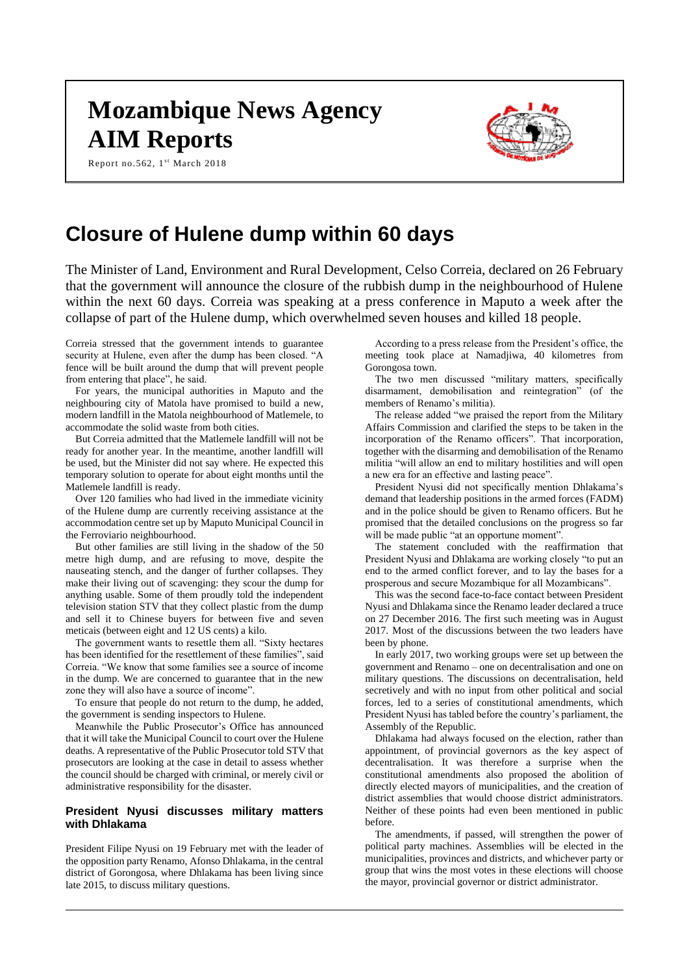# **Mozambique News Agency AIM Reports**

Report no.562, 1st March 2018



# **Closure of Hulene dump within 60 days**

The Minister of Land, Environment and Rural Development, Celso Correia, declared on 26 February that the government will announce the closure of the rubbish dump in the neighbourhood of Hulene within the next 60 days. Correia was speaking at a press conference in Maputo a week after the collapse of part of the Hulene dump, which overwhelmed seven houses and killed 18 people.

Correia stressed that the government intends to guarantee security at Hulene, even after the dump has been closed. "A fence will be built around the dump that will prevent people from entering that place", he said.

For years, the municipal authorities in Maputo and the neighbouring city of Matola have promised to build a new, modern landfill in the Matola neighbourhood of Matlemele, to accommodate the solid waste from both cities.

But Correia admitted that the Matlemele landfill will not be ready for another year. In the meantime, another landfill will be used, but the Minister did not say where. He expected this temporary solution to operate for about eight months until the Matlemele landfill is ready.

Over 120 families who had lived in the immediate vicinity of the Hulene dump are currently receiving assistance at the accommodation centre set up by Maputo Municipal Council in the Ferroviario neighbourhood.

But other families are still living in the shadow of the 50 metre high dump, and are refusing to move, despite the nauseating stench, and the danger of further collapses. They make their living out of scavenging: they scour the dump for anything usable. Some of them proudly told the independent television station STV that they collect plastic from the dump and sell it to Chinese buyers for between five and seven meticais (between eight and 12 US cents) a kilo.

The government wants to resettle them all. "Sixty hectares has been identified for the resettlement of these families", said Correia. "We know that some families see a source of income in the dump. We are concerned to guarantee that in the new zone they will also have a source of income".

To ensure that people do not return to the dump, he added, the government is sending inspectors to Hulene.

Meanwhile the Public Prosecutor's Office has announced that it will take the Municipal Council to court over the Hulene deaths. A representative of the Public Prosecutor told STV that prosecutors are looking at the case in detail to assess whether the council should be charged with criminal, or merely civil or administrative responsibility for the disaster.

### **President Nyusi discusses military matters with Dhlakama**

President Filipe Nyusi on 19 February met with the leader of the opposition party Renamo, Afonso Dhlakama, in the central district of Gorongosa, where Dhlakama has been living since late 2015, to discuss military questions.

According to a press release from the President's office, the meeting took place at Namadjiwa, 40 kilometres from Gorongosa town.

The two men discussed "military matters, specifically disarmament, demobilisation and reintegration" (of the members of Renamo's militia).

The release added "we praised the report from the Military Affairs Commission and clarified the steps to be taken in the incorporation of the Renamo officers". That incorporation, together with the disarming and demobilisation of the Renamo militia "will allow an end to military hostilities and will open a new era for an effective and lasting peace".

President Nyusi did not specifically mention Dhlakama's demand that leadership positions in the armed forces (FADM) and in the police should be given to Renamo officers. But he promised that the detailed conclusions on the progress so far will be made public "at an opportune moment".

The statement concluded with the reaffirmation that President Nyusi and Dhlakama are working closely "to put an end to the armed conflict forever, and to lay the bases for a prosperous and secure Mozambique for all Mozambicans".

This was the second face-to-face contact between President Nyusi and Dhlakama since the Renamo leader declared a truce on 27 December 2016. The first such meeting was in August 2017. Most of the discussions between the two leaders have been by phone.

In early 2017, two working groups were set up between the government and Renamo – one on decentralisation and one on military questions. The discussions on decentralisation, held secretively and with no input from other political and social forces, led to a series of constitutional amendments, which President Nyusi has tabled before the country's parliament, the Assembly of the Republic.

Dhlakama had always focused on the election, rather than appointment, of provincial governors as the key aspect of decentralisation. It was therefore a surprise when the constitutional amendments also proposed the abolition of directly elected mayors of municipalities, and the creation of district assemblies that would choose district administrators. Neither of these points had even been mentioned in public before.

The amendments, if passed, will strengthen the power of political party machines. Assemblies will be elected in the municipalities, provinces and districts, and whichever party or group that wins the most votes in these elections will choose the mayor, provincial governor or district administrator.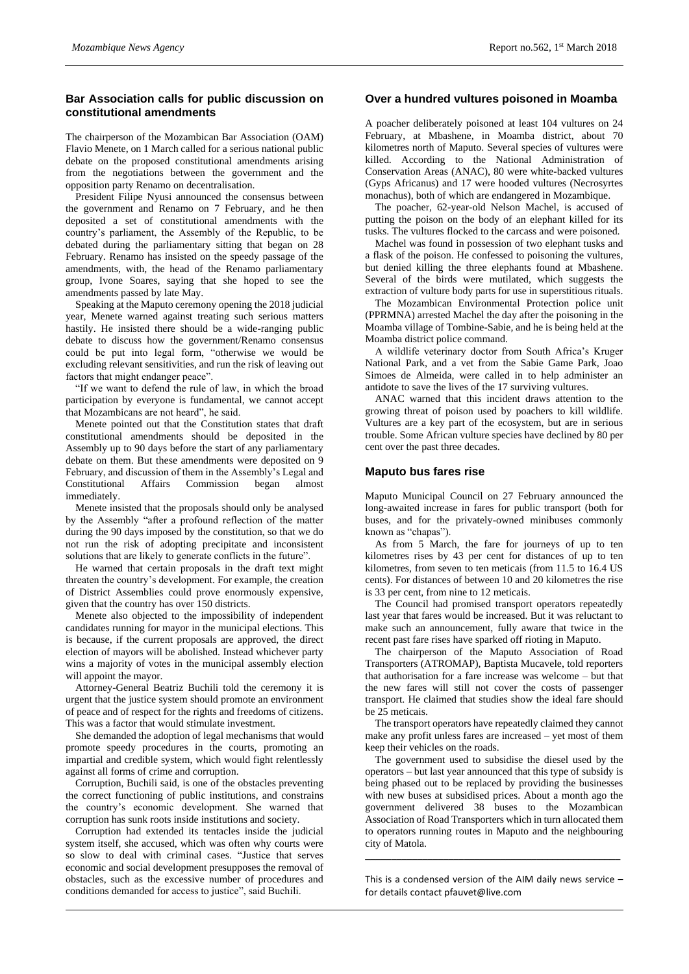# **Bar Association calls for public discussion on constitutional amendments**

The chairperson of the Mozambican Bar Association (OAM) Flavio Menete, on 1 March called for a serious national public debate on the proposed constitutional amendments arising from the negotiations between the government and the opposition party Renamo on decentralisation.

President Filipe Nyusi announced the consensus between the government and Renamo on 7 February, and he then deposited a set of constitutional amendments with the country's parliament, the Assembly of the Republic, to be debated during the parliamentary sitting that began on 28 February. Renamo has insisted on the speedy passage of the amendments, with, the head of the Renamo parliamentary group, Ivone Soares, saying that she hoped to see the amendments passed by late May.

Speaking at the Maputo ceremony opening the 2018 judicial year, Menete warned against treating such serious matters hastily. He insisted there should be a wide-ranging public debate to discuss how the government/Renamo consensus could be put into legal form, "otherwise we would be excluding relevant sensitivities, and run the risk of leaving out factors that might endanger peace".

"If we want to defend the rule of law, in which the broad participation by everyone is fundamental, we cannot accept that Mozambicans are not heard", he said.

Menete pointed out that the Constitution states that draft constitutional amendments should be deposited in the Assembly up to 90 days before the start of any parliamentary debate on them. But these amendments were deposited on 9 February, and discussion of them in the Assembly's Legal and Constitutional Affairs Commission began almost immediately.

Menete insisted that the proposals should only be analysed by the Assembly "after a profound reflection of the matter during the 90 days imposed by the constitution, so that we do not run the risk of adopting precipitate and inconsistent solutions that are likely to generate conflicts in the future".

He warned that certain proposals in the draft text might threaten the country's development. For example, the creation of District Assemblies could prove enormously expensive, given that the country has over 150 districts.

Menete also objected to the impossibility of independent candidates running for mayor in the municipal elections. This is because, if the current proposals are approved, the direct election of mayors will be abolished. Instead whichever party wins a majority of votes in the municipal assembly election will appoint the mayor.

Attorney-General Beatriz Buchili told the ceremony it is urgent that the justice system should promote an environment of peace and of respect for the rights and freedoms of citizens. This was a factor that would stimulate investment.

She demanded the adoption of legal mechanisms that would promote speedy procedures in the courts, promoting an impartial and credible system, which would fight relentlessly against all forms of crime and corruption.

Corruption, Buchili said, is one of the obstacles preventing the correct functioning of public institutions, and constrains the country's economic development. She warned that corruption has sunk roots inside institutions and society.

Corruption had extended its tentacles inside the judicial system itself, she accused, which was often why courts were so slow to deal with criminal cases. "Justice that serves economic and social development presupposes the removal of obstacles, such as the excessive number of procedures and conditions demanded for access to justice", said Buchili.

#### **Over a hundred vultures poisoned in Moamba**

A poacher deliberately poisoned at least 104 vultures on 24 February, at Mbashene, in Moamba district, about 70 kilometres north of Maputo. Several species of vultures were killed. According to the National Administration of Conservation Areas (ANAC), 80 were white-backed vultures (Gyps Africanus) and 17 were hooded vultures (Necrosyrtes monachus), both of which are endangered in Mozambique.

The poacher, 62-year-old Nelson Machel, is accused of putting the poison on the body of an elephant killed for its tusks. The vultures flocked to the carcass and were poisoned.

Machel was found in possession of two elephant tusks and a flask of the poison. He confessed to poisoning the vultures, but denied killing the three elephants found at Mbashene. Several of the birds were mutilated, which suggests the extraction of vulture body parts for use in superstitious rituals.

The Mozambican Environmental Protection police unit (PPRMNA) arrested Machel the day after the poisoning in the Moamba village of Tombine-Sabie, and he is being held at the Moamba district police command.

A wildlife veterinary doctor from South Africa's Kruger National Park, and a vet from the Sabie Game Park, Joao Simoes de Almeida, were called in to help administer an antidote to save the lives of the 17 surviving vultures.

ANAC warned that this incident draws attention to the growing threat of poison used by poachers to kill wildlife. Vultures are a key part of the ecosystem, but are in serious trouble. Some African vulture species have declined by 80 per cent over the past three decades.

#### **Maputo bus fares rise**

Maputo Municipal Council on 27 February announced the long-awaited increase in fares for public transport (both for buses, and for the privately-owned minibuses commonly known as "chapas").

As from 5 March, the fare for journeys of up to ten kilometres rises by 43 per cent for distances of up to ten kilometres, from seven to ten meticais (from 11.5 to 16.4 US cents). For distances of between 10 and 20 kilometres the rise is 33 per cent, from nine to 12 meticais.

The Council had promised transport operators repeatedly last year that fares would be increased. But it was reluctant to make such an announcement, fully aware that twice in the recent past fare rises have sparked off rioting in Maputo.

The chairperson of the Maputo Association of Road Transporters (ATROMAP), Baptista Mucavele, told reporters that authorisation for a fare increase was welcome – but that the new fares will still not cover the costs of passenger transport. He claimed that studies show the ideal fare should be 25 meticais.

The transport operators have repeatedly claimed they cannot make any profit unless fares are increased – yet most of them keep their vehicles on the roads.

The government used to subsidise the diesel used by the operators – but last year announced that this type of subsidy is being phased out to be replaced by providing the businesses with new buses at subsidised prices. About a month ago the government delivered 38 buses to the Mozambican Association of Road Transporters which in turn allocated them to operators running routes in Maputo and the neighbouring city of Matola.

This is a condensed version of the AIM daily news service – for details contact [pfauvet@live.com](mailto:pfauvet@live.com)

**\_\_\_\_\_\_\_\_\_\_\_\_\_\_\_\_\_\_\_\_\_\_\_\_\_\_\_\_\_\_\_\_\_\_\_\_\_\_\_\_\_\_\_\_\_\_\_\_\_**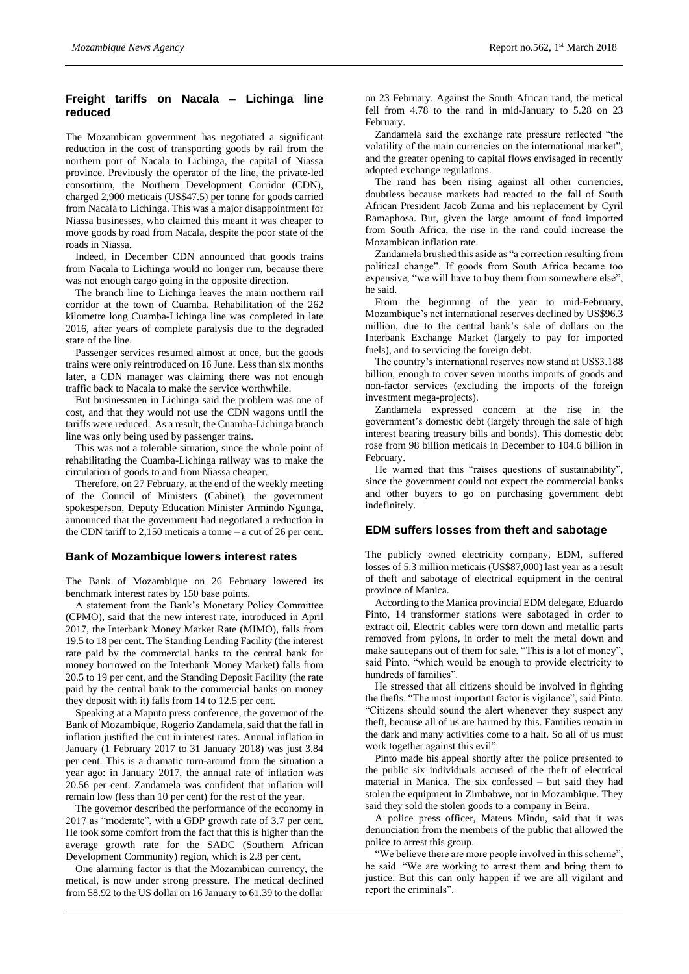# **Freight tariffs on Nacala – Lichinga line reduced**

The Mozambican government has negotiated a significant reduction in the cost of transporting goods by rail from the northern port of Nacala to Lichinga, the capital of Niassa province. Previously the operator of the line, the private-led consortium, the Northern Development Corridor (CDN), charged 2,900 meticais (US\$47.5) per tonne for goods carried from Nacala to Lichinga. This was a major disappointment for Niassa businesses, who claimed this meant it was cheaper to move goods by road from Nacala, despite the poor state of the roads in Niassa.

Indeed, in December CDN announced that goods trains from Nacala to Lichinga would no longer run, because there was not enough cargo going in the opposite direction.

The branch line to Lichinga leaves the main northern rail corridor at the town of Cuamba. Rehabilitation of the 262 kilometre long Cuamba-Lichinga line was completed in late 2016, after years of complete paralysis due to the degraded state of the line.

Passenger services resumed almost at once, but the goods trains were only reintroduced on 16 June. Less than six months later, a CDN manager was claiming there was not enough traffic back to Nacala to make the service worthwhile.

But businessmen in Lichinga said the problem was one of cost, and that they would not use the CDN wagons until the tariffs were reduced. As a result, the Cuamba-Lichinga branch line was only being used by passenger trains.

This was not a tolerable situation, since the whole point of rehabilitating the Cuamba-Lichinga railway was to make the circulation of goods to and from Niassa cheaper.

Therefore, on 27 February, at the end of the weekly meeting of the Council of Ministers (Cabinet), the government spokesperson, Deputy Education Minister Armindo Ngunga, announced that the government had negotiated a reduction in the CDN tariff to 2,150 meticais a tonne – a cut of 26 per cent.

### **Bank of Mozambique lowers interest rates**

The Bank of Mozambique on 26 February lowered its benchmark interest rates by 150 base points.

A statement from the Bank's Monetary Policy Committee (CPMO), said that the new interest rate, introduced in April 2017, the Interbank Money Market Rate (MIMO), falls from 19.5 to 18 per cent. The Standing Lending Facility (the interest rate paid by the commercial banks to the central bank for money borrowed on the Interbank Money Market) falls from 20.5 to 19 per cent, and the Standing Deposit Facility (the rate paid by the central bank to the commercial banks on money they deposit with it) falls from 14 to 12.5 per cent.

Speaking at a Maputo press conference, the governor of the Bank of Mozambique, Rogerio Zandamela, said that the fall in inflation justified the cut in interest rates. Annual inflation in January (1 February 2017 to 31 January 2018) was just 3.84 per cent. This is a dramatic turn-around from the situation a year ago: in January 2017, the annual rate of inflation was 20.56 per cent. Zandamela was confident that inflation will remain low (less than 10 per cent) for the rest of the year.

The governor described the performance of the economy in 2017 as "moderate", with a GDP growth rate of 3.7 per cent. He took some comfort from the fact that this is higher than the average growth rate for the SADC (Southern African Development Community) region, which is 2.8 per cent.

One alarming factor is that the Mozambican currency, the metical, is now under strong pressure. The metical declined from 58.92 to the US dollar on 16 January to 61.39 to the dollar

on 23 February. Against the South African rand, the metical fell from 4.78 to the rand in mid-January to 5.28 on 23 February.

Zandamela said the exchange rate pressure reflected "the volatility of the main currencies on the international market", and the greater opening to capital flows envisaged in recently adopted exchange regulations.

The rand has been rising against all other currencies, doubtless because markets had reacted to the fall of South African President Jacob Zuma and his replacement by Cyril Ramaphosa. But, given the large amount of food imported from South Africa, the rise in the rand could increase the Mozambican inflation rate.

Zandamela brushed this aside as "a correction resulting from political change". If goods from South Africa became too expensive, "we will have to buy them from somewhere else", he said.

From the beginning of the year to mid-February, Mozambique's net international reserves declined by US\$96.3 million, due to the central bank's sale of dollars on the Interbank Exchange Market (largely to pay for imported fuels), and to servicing the foreign debt.

The country's international reserves now stand at US\$3.188 billion, enough to cover seven months imports of goods and non-factor services (excluding the imports of the foreign investment mega-projects).

Zandamela expressed concern at the rise in the government's domestic debt (largely through the sale of high interest bearing treasury bills and bonds). This domestic debt rose from 98 billion meticais in December to 104.6 billion in February.

He warned that this "raises questions of sustainability", since the government could not expect the commercial banks and other buyers to go on purchasing government debt indefinitely.

#### **EDM suffers losses from theft and sabotage**

The publicly owned electricity company, EDM, suffered losses of 5.3 million meticais (US\$87,000) last year as a result of theft and sabotage of electrical equipment in the central province of Manica.

According to the Manica provincial EDM delegate, Eduardo Pinto, 14 transformer stations were sabotaged in order to extract oil. Electric cables were torn down and metallic parts removed from pylons, in order to melt the metal down and make saucepans out of them for sale. "This is a lot of money", said Pinto. "which would be enough to provide electricity to hundreds of families".

He stressed that all citizens should be involved in fighting the thefts. "The most important factor is vigilance", said Pinto. "Citizens should sound the alert whenever they suspect any theft, because all of us are harmed by this. Families remain in the dark and many activities come to a halt. So all of us must work together against this evil".

Pinto made his appeal shortly after the police presented to the public six individuals accused of the theft of electrical material in Manica. The six confessed – but said they had stolen the equipment in Zimbabwe, not in Mozambique. They said they sold the stolen goods to a company in Beira.

A police press officer, Mateus Mindu, said that it was denunciation from the members of the public that allowed the police to arrest this group.

"We believe there are more people involved in this scheme", he said. "We are working to arrest them and bring them to justice. But this can only happen if we are all vigilant and report the criminals".